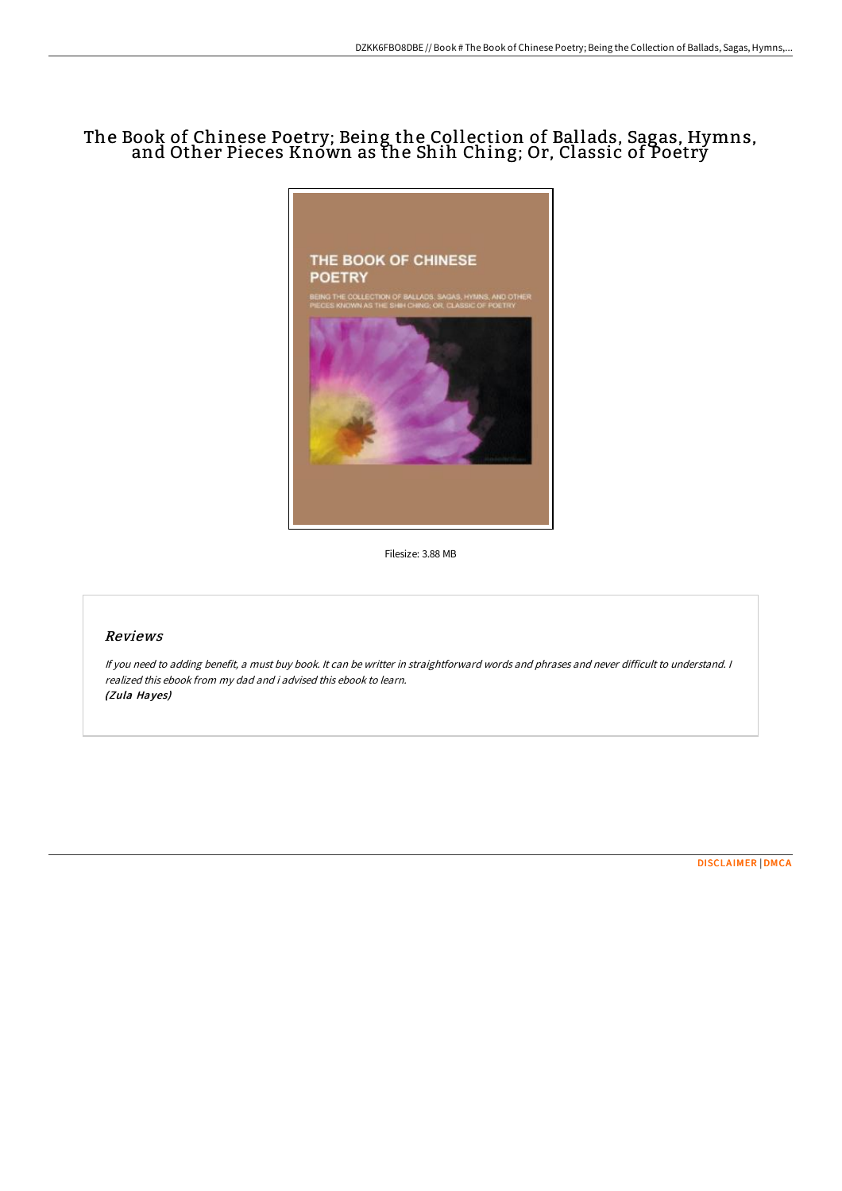## The Book of Chinese Poetry; Being the Collection of Ballads, Sagas, Hymns, and Other Pieces Knówn as the Shih Ching; Or, Classic of Poetrý



Filesize: 3.88 MB

## Reviews

If you need to adding benefit, <sup>a</sup> must buy book. It can be writter in straightforward words and phrases and never difficult to understand. <sup>I</sup> realized this ebook from my dad and i advised this ebook to learn. (Zula Hayes)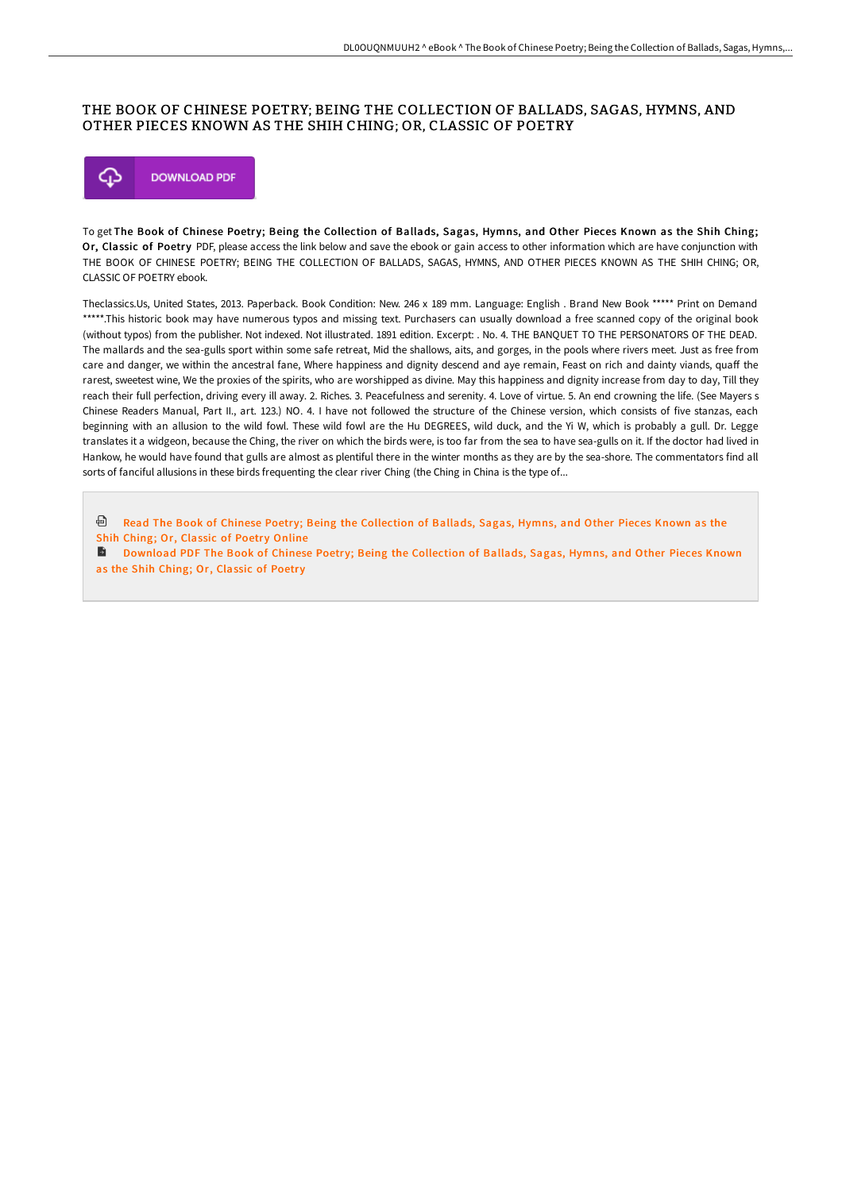## THE BOOK OF CHINESE POETRY; BEING THE COLLECTION OF BALLADS, SAGAS, HYMNS, AND OTHER PIECES KNOWN AS THE SHIH CHING; OR, CLASSIC OF POETRY



To get The Book of Chinese Poetry; Being the Collection of Ballads, Sagas, Hymns, and Other Pieces Known as the Shih Ching; Or, Classic of Poetry PDF, please access the link below and save the ebook or gain access to other information which are have conjunction with THE BOOK OF CHINESE POETRY; BEING THE COLLECTION OF BALLADS, SAGAS, HYMNS, AND OTHER PIECES KNOWN AS THE SHIH CHING; OR, CLASSIC OF POETRY ebook.

Theclassics.Us, United States, 2013. Paperback. Book Condition: New. 246 x 189 mm. Language: English . Brand New Book \*\*\*\*\* Print on Demand \*\*\*\*\*.This historic book may have numerous typos and missing text. Purchasers can usually download a free scanned copy of the original book (without typos) from the publisher. Not indexed. Not illustrated. 1891 edition. Excerpt: . No. 4. THE BANQUET TO THE PERSONATORS OF THE DEAD. The mallards and the sea-gulls sport within some safe retreat, Mid the shallows, aits, and gorges, in the pools where rivers meet. Just as free from care and danger, we within the ancestral fane, Where happiness and dignity descend and aye remain, Feast on rich and dainty viands, quaff the rarest, sweetest wine, We the proxies of the spirits, who are worshipped as divine. May this happiness and dignity increase from day to day, Till they reach their full perfection, driving every ill away. 2. Riches. 3. Peacefulness and serenity. 4. Love of virtue. 5. An end crowning the life. (See Mayers s Chinese Readers Manual, Part II., art. 123.) NO. 4. I have not followed the structure of the Chinese version, which consists of five stanzas, each beginning with an allusion to the wild fowl. These wild fowl are the Hu DEGREES, wild duck, and the Yi W, which is probably a gull. Dr. Legge translates it a widgeon, because the Ching, the river on which the birds were, is too far from the sea to have sea-gulls on it. If the doctor had lived in Hankow, he would have found that gulls are almost as plentiful there in the winter months as they are by the sea-shore. The commentators find all sorts of fanciful allusions in these birds frequenting the clear river Ching (the Ching in China is the type of...

ଈ Read The Book of Chinese Poetry; Being the [Collection](http://albedo.media/the-book-of-chinese-poetry-being-the-collection-.html) of Ballads, Sagas, Hymns, and Other Pieces Known as the Shih Ching; Or, Classic of Poetry Online

**D** [Download](http://albedo.media/the-book-of-chinese-poetry-being-the-collection-.html) PDF The Book of Chinese Poetry; Being the Collection of Ballads, Sagas, Hymns, and Other Pieces Known as the Shih Ching; Or, Classic of Poetry